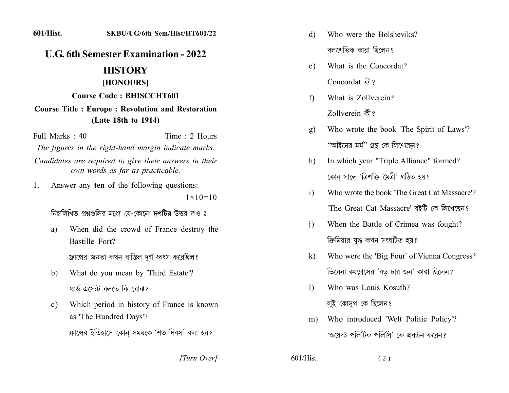#### **601/Hist.** SKBU/UG/6th Sem/Hist/HT601/22

# **U.G. 6th Semester Examination - 2022**

# **HISTORY**

### [HONOURS]

#### **Course Code: BHISCCHT601**

## **Course Title: Europe: Revolution and Restoration** (Late 18th to 1914)

Full Marks  $\cdot$  40

Time  $\cdot$  2 Hours

The figures in the right-hand margin indicate marks.

Candidates are required to give their answers in their own words as far as practicable.

Answer any ten of the following questions: 1.

 $1 \times 10 = 10$ 

নিম্নলিখিত প্রশ্নগুলির মধ্যে যে-কোনো দশটির উত্তর দাও ঃ

When did the crowd of France destroy the a) Bastille Fort?

ফ্রান্সের জনতা কখন বাস্তিল দর্গ ধ্বংস করেছিল?

- What do you mean by 'Third Estate'? b) থাৰ্ড এস্টেট বলতে কি বোঝাং
- Which period in history of France is known  $c)$ as 'The Hundred Days'? ফ্রান্সের ইতিহাসে কোন সময়কে 'শত দিবস' বলা হয়?

[Turn Over]

- Who were the Bolsheviks? d) বলশেভিক কারা ছিলেন?
- What is the Concordat? e) Concordat को ?
- What is Zollverein?  $f$ Zollverein कै?
- Who wrote the book 'The Spirit of Laws'?  $g)$ ''আইনের মর্ম'' গ্রন্থ কে লিখেছেন?
- In which year "Triple Alliance" formed?  $h)$ কোন সালে 'ত্রিশক্তি মৈত্রী' গঠিত হয়?
- Who wrote the book 'The Great Cat Massacre'?  $\mathbf{i}$ 'The Great Cat Massacre' বইটি কে লিখেছেন?
- When the Battle of Crimea was fought?  $\mathbf{i}$ ক্রিমিয়ার যুদ্ধ কখন সংঘটিত হয়?
- Who were the 'Big Four' of Vienna Congress?  $\bf k$ ভিয়েনা কংগ্রেসের 'বড় চার জন' কারা ছিলেন?
- Who was Louis Kosuth?  $\left| \right|$ লুই কোসুথ কে ছিলেন?
- Who introduced 'Welt Politic Policy'?  $m)$ 'ওয়েল্ট পলিটিক পলিসি' কে প্রবর্তন করেন?

 $601/H$ ist  $(2)$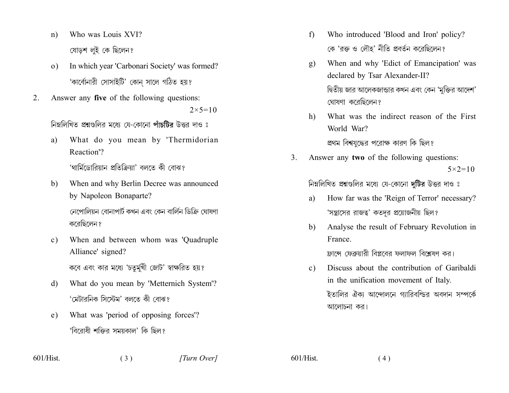- Who was Louis XVI?  $n)$ ষোডশ লই কে ছিলেন?
- In which year 'Carbonari Society' was formed?  $\overline{O}$ ) 'কাৰ্বোনারী সোসাইটি' কোন সালে গঠিত হয়?
- Answer any five of the following questions:  $2_{-}$  $2 \times 5 = 10$

নিম্নলিখিত প্রশ্নগুলির মধ্যে যে-কোনো পাঁচটির উত্তর দাও ঃ

What do you mean by 'Thermidorian a) Reaction<sup>'</sup>?

'থার্মিডোরিয়ান প্রতিক্রিয়া' বলতে কী বোঝ?

When and why Berlin Decree was announced b) by Napoleon Bonaparte?

> নেপোলিয়ন বোনাপার্ট কখন এবং কেন বার্লিন ডিক্রি ঘোষণা করেছিলেন?

- When and between whom was 'Quadruple  $c)$ Alliance' signed? কবে এবং কার মধ্যে 'চতুর্মুখী জোট' স্বাক্ষরিত হয়?
- What do you mean by 'Metternich System'? d) 'মেটারনিক সিস্টেম' বলতে কী বোঝ?
- What was 'period of opposing forces'? e) 'বিরোধী শক্তির সময়কাল' কি ছিল?

 $(3)$ 

- Who introduced 'Blood and Iron' policy?  $f$ কে 'রক্ত ও লৌহ' নীতি প্রবর্তন করেছিলেন?
- When and why 'Edict of Emancipation' was  $g)$ declared by Tsar Alexander-II? দ্বিতীয় জার আলেকজান্ডার কখন এবং কেন 'মুক্তির আদেশ' ঘোষণা করেছিলেন?
- What was the indirect reason of the First  $h$ ) World War?

প্রথম বিশ্বযুদ্ধের পরোক্ষ কারণ কি ছিল?

Answer any two of the following questions:  $\mathcal{E}$  $5 \times 2 = 10$ 

নিম্নলিখিত প্রশ্নগুলির মধ্যে যে-কোনো দটির উত্তর দাও ঃ

- How far was the 'Reign of Terror' necessary? a) 'সন্ত্রাসের রাজত্ব' কতদুর প্রয়োজনীয় ছিল?
- Analyse the result of February Revolution in b) France

ফ্রান্সে ফেব্রুয়ারী বিপ্লবের ফলাফল বিশ্লেষণ কর।

Discuss about the contribution of Garibaldi  $c$ ) in the unification movement of Italy. ইতালির ঐক্য আন্দোলনে গ্যারিবল্ডির অবদান সম্পর্কে আলোচনা কর।

 $601/H$ ist

 $601/H$ ist